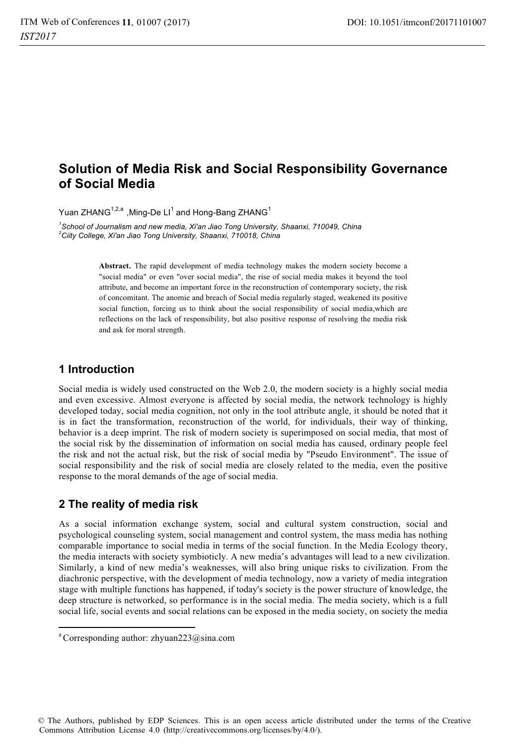# **Solution of Media Risk and Social Responsibility Governance of Social Media**

Yuan ZHANG $^{\rm 1,2,a}$  ,Ming-De LI $^{\rm 1}$  and Hong-Bang ZHANG $^{\rm 1}$ 

<sup>1</sup> School of Journalism and new media, Xi'an Jiao Tong University, Shaanxi, 710049, China<br><sup>2</sup>Ciity Colloge, Xi'an Jiao Tong University, Shaanxi, 710019, China *Ciity College, Xi'an Jiao Tong University, Shaanxi, 710018, China*

> **Abstract.** The rapid development of media technology makes the modern society become a "social media" or even "over social media", the rise of social media makes it beyond the tool attribute, and become an important force in the reconstruction of contemporary society, the risk of concomitant. The anomie and breach of Social media regularly staged, weakened its positive social function, forcing us to think about the social responsibility of social media,which are reflections on the lack of responsibility, but also positive response of resolving the media risk and ask for moral strength.

### **1 Introduction**

-------------------------------------

Social media is widely used constructed on the Web 2.0, the modern society is a highly social media and even excessive. Almost everyone is affected by social media, the network technology is highly developed today, social media cognition, not only in the tool attribute angle, it should be noted that it is in fact the transformation, reconstruction of the world, for individuals, their way of thinking, behavior is a deep imprint. The risk of modern society is superimposed on social media, that most of the social risk by the dissemination of information on social media has caused, ordinary people feel the risk and not the actual risk, but the risk of social media by "Pseudo Environment". The issue of social responsibility and the risk of social media are closely related to the media, even the positive response to the moral demands of the age of social media.

### **2 The reality of media risk**

As a social information exchange system, social and cultural system construction, social and psychological counseling system, social management and control system, the mass media has nothing comparable importance to social media in terms of the social function. In the Media Ecology theory, the media interacts with society symbioticly. A new media's advantages will lead to a new civilization. Similarly, a kind of new media's weaknesses, will also bring unique risks to civilization. From the diachronic perspective, with the development of media technology, now a variety of media integration stage with multiple functions has happened, if today's society is the power structure of knowledge, the deep structure is networked, so performance is in the social media. The media society, which is a full social life, social events and social relations can be exposed in the media society, on society the media

-------------------

<sup>-</sup>-- --<sup>a</sup> Corresponding author: zhyuan223@sina.com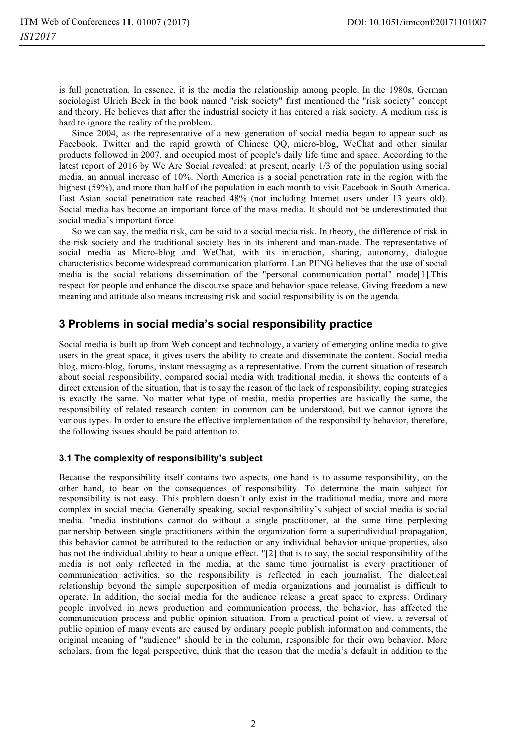is full penetration. In essence, it is the media the relationship among people. In the 1980s, German sociologist Ulrich Beck in the book named "risk society" first mentioned the "risk society" concept and theory. He believes that after the industrial society it has entered a risk society. A medium risk is hard to ignore the reality of the problem.

Since 2004, as the representative of a new generation of social media began to appear such as Facebook, Twitter and the rapid growth of Chinese QQ, micro-blog, WeChat and other similar products followed in 2007, and occupied most of people's daily life time and space. According to the latest report of 2016 by We Are Social revealed: at present, nearly 1/3 of the population using social media, an annual increase of 10%. North America is a social penetration rate in the region with the highest (59%), and more than half of the population in each month to visit Facebook in South America. East Asian social penetration rate reached 48% (not including Internet users under 13 years old). Social media has become an important force of the mass media. It should not be underestimated that social media's important force.

So we can say, the media risk, can be said to a social media risk. In theory, the difference of risk in the risk society and the traditional society lies in its inherent and man-made. The representative of social media as Micro-blog and WeChat, with its interaction, sharing, autonomy, dialogue characteristics become widespread communication platform. Lan PENG believes that the use of social media is the social relations dissemination of the "personal communication portal" mode[1].This respect for people and enhance the discourse space and behavior space release, Giving freedom a new meaning and attitude also means increasing risk and social responsibility is on the agenda.

### **3 Problems in social media's social responsibility practice**

Social media is built up from Web concept and technology, a variety of emerging online media to give users in the great space, it gives users the ability to create and disseminate the content. Social media blog, micro-blog, forums, instant messaging as a representative. From the current situation of research about social responsibility, compared social media with traditional media, it shows the contents of a direct extension of the situation, that is to say the reason of the lack of responsibility, coping strategies is exactly the same. No matter what type of media, media properties are basically the same, the responsibility of related research content in common can be understood, but we cannot ignore the various types. In order to ensure the effective implementation of the responsibility behavior, therefore, the following issues should be paid attention to.

### **3.1 The complexity of responsibility's subject**

Because the responsibility itself contains two aspects, one hand is to assume responsibility, on the other hand, to bear on the consequences of responsibility. To determine the main subject for responsibility is not easy. This problem doesn't only exist in the traditional media, more and more complex in social media. Generally speaking, social responsibility's subject of social media is social media. "media institutions cannot do without a single practitioner, at the same time perplexing partnership between single practitioners within the organization form a superindividual propagation, this behavior cannot be attributed to the reduction or any individual behavior unique properties, also has not the individual ability to bear a unique effect. "[2] that is to say, the social responsibility of the media is not only reflected in the media, at the same time journalist is every practitioner of communication activities, so the responsibility is reflected in each journalist. The dialectical relationship beyond the simple superposition of media organizations and journalist is difficult to operate. In addition, the social media for the audience release a great space to express. Ordinary people involved in news production and communication process, the behavior, has affected the communication process and public opinion situation. From a practical point of view, a reversal of public opinion of many events are caused by ordinary people publish information and comments, the original meaning of "audience" should be in the column, responsible for their own behavior. More scholars, from the legal perspective, think that the reason that the media's default in addition to the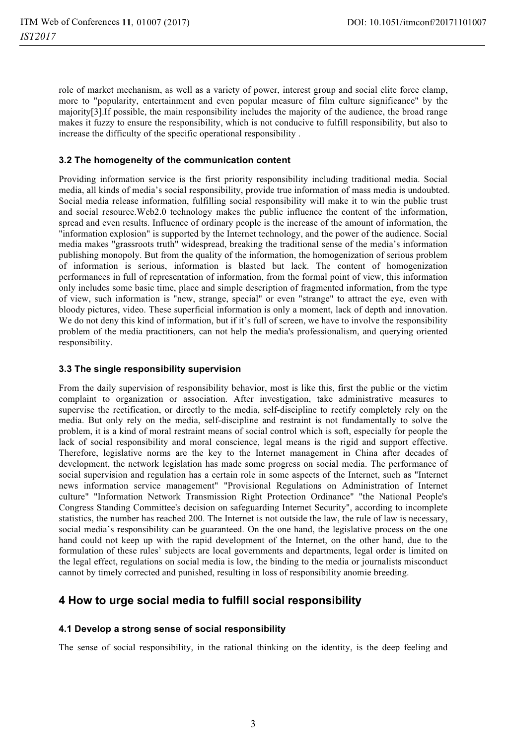role of market mechanism, as well as a variety of power, interest group and social elite force clamp, more to "popularity, entertainment and even popular measure of film culture significance" by the majority[3].If possible, the main responsibility includes the majority of the audience, the broad range makes it fuzzy to ensure the responsibility, which is not conducive to fulfill responsibility, but also to increase the difficulty of the specific operational responsibility .

### **3.2 The homogeneity of the communication content**

Providing information service is the first priority responsibility including traditional media. Social media, all kinds of media's social responsibility, provide true information of mass media is undoubted. Social media release information, fulfilling social responsibility will make it to win the public trust and social resource.Web2.0 technology makes the public influence the content of the information, spread and even results. Influence of ordinary people is the increase of the amount of information, the "information explosion" is supported by the Internet technology, and the power of the audience. Social media makes "grassroots truth" widespread, breaking the traditional sense of the media's information publishing monopoly. But from the quality of the information, the homogenization of serious problem of information is serious, information is blasted but lack. The content of homogenization performances in full of representation of information, from the formal point of view, this information only includes some basic time, place and simple description of fragmented information, from the type of view, such information is "new, strange, special" or even "strange" to attract the eye, even with bloody pictures, video. These superficial information is only a moment, lack of depth and innovation. We do not deny this kind of information, but if it's full of screen, we have to involve the responsibility problem of the media practitioners, can not help the media's professionalism, and querying oriented responsibility.

### **3.3 The single responsibility supervision**

From the daily supervision of responsibility behavior, most is like this, first the public or the victim complaint to organization or association. After investigation, take administrative measures to supervise the rectification, or directly to the media, self-discipline to rectify completely rely on the media. But only rely on the media, self-discipline and restraint is not fundamentally to solve the problem, it is a kind of moral restraint means of social control which is soft, especially for people the lack of social responsibility and moral conscience, legal means is the rigid and support effective. Therefore, legislative norms are the key to the Internet management in China after decades of development, the network legislation has made some progress on social media. The performance of social supervision and regulation has a certain role in some aspects of the Internet, such as "Internet news information service management" "Provisional Regulations on Administration of Internet culture" "Information Network Transmission Right Protection Ordinance" "the National People's Congress Standing Committee's decision on safeguarding Internet Security", according to incomplete statistics, the number has reached 200. The Internet is not outside the law, the rule of law is necessary, social media's responsibility can be guaranteed. On the one hand, the legislative process on the one hand could not keep up with the rapid development of the Internet, on the other hand, due to the formulation of these rules' subjects are local governments and departments, legal order is limited on the legal effect, regulations on social media is low, the binding to the media or journalists misconduct cannot by timely corrected and punished, resulting in loss of responsibility anomie breeding.

# **4 How to urge social media to fulfill social responsibility**

### **4.1 Develop a strong sense of social responsibility**

The sense of social responsibility, in the rational thinking on the identity, is the deep feeling and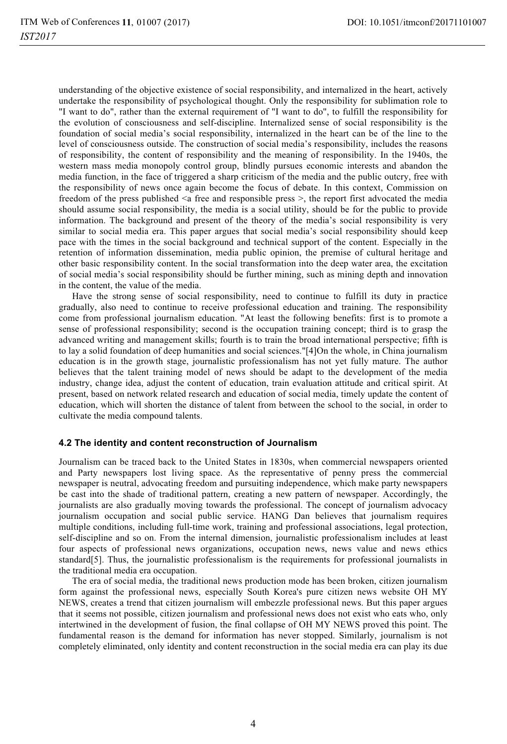understanding of the objective existence of social responsibility, and internalized in the heart, actively undertake the responsibility of psychological thought. Only the responsibility for sublimation role to "I want to do", rather than the external requirement of "I want to do", to fulfill the responsibility for the evolution of consciousness and self-discipline. Internalized sense of social responsibility is the foundation of social media's social responsibility, internalized in the heart can be of the line to the level of consciousness outside. The construction of social media's responsibility, includes the reasons of responsibility, the content of responsibility and the meaning of responsibility. In the 1940s, the western mass media monopoly control group, blindly pursues economic interests and abandon the media function, in the face of triggered a sharp criticism of the media and the public outcry, free with the responsibility of news once again become the focus of debate. In this context, Commission on freedom of the press published <a free and responsible press >, the report first advocated the media should assume social responsibility, the media is a social utility, should be for the public to provide information. The background and present of the theory of the media's social responsibility is very similar to social media era. This paper argues that social media's social responsibility should keep pace with the times in the social background and technical support of the content. Especially in the retention of information dissemination, media public opinion, the premise of cultural heritage and other basic responsibility content. In the social transformation into the deep water area, the excitation of social media's social responsibility should be further mining, such as mining depth and innovation in the content, the value of the media.

Have the strong sense of social responsibility, need to continue to fulfill its duty in practice gradually, also need to continue to receive professional education and training. The responsibility come from professional journalism education. "At least the following benefits: first is to promote a sense of professional responsibility; second is the occupation training concept; third is to grasp the advanced writing and management skills; fourth is to train the broad international perspective; fifth is to lay a solid foundation of deep humanities and social sciences."[4]On the whole, in China journalism education is in the growth stage, journalistic professionalism has not yet fully mature. The author believes that the talent training model of news should be adapt to the development of the media industry, change idea, adjust the content of education, train evaluation attitude and critical spirit. At present, based on network related research and education of social media, timely update the content of education, which will shorten the distance of talent from between the school to the social, in order to cultivate the media compound talents.

#### **4.2 The identity and content reconstruction of Journalism**

Journalism can be traced back to the United States in 1830s, when commercial newspapers oriented and Party newspapers lost living space. As the representative of penny press the commercial newspaper is neutral, advocating freedom and pursuiting independence, which make party newspapers be cast into the shade of traditional pattern, creating a new pattern of newspaper. Accordingly, the journalists are also gradually moving towards the professional. The concept of journalism advocacy journalism occupation and social public service. HANG Dan believes that journalism requires multiple conditions, including full-time work, training and professional associations, legal protection, self-discipline and so on. From the internal dimension, journalistic professionalism includes at least four aspects of professional news organizations, occupation news, news value and news ethics standard[5]. Thus, the journalistic professionalism is the requirements for professional journalists in the traditional media era occupation.

The era of social media, the traditional news production mode has been broken, citizen journalism form against the professional news, especially South Korea's pure citizen news website OH MY NEWS, creates a trend that citizen journalism will embezzle professional news. But this paper argues that it seems not possible, citizen journalism and professional news does not exist who eats who, only intertwined in the development of fusion, the final collapse of OH MY NEWS proved this point. The fundamental reason is the demand for information has never stopped. Similarly, journalism is not completely eliminated, only identity and content reconstruction in the social media era can play its due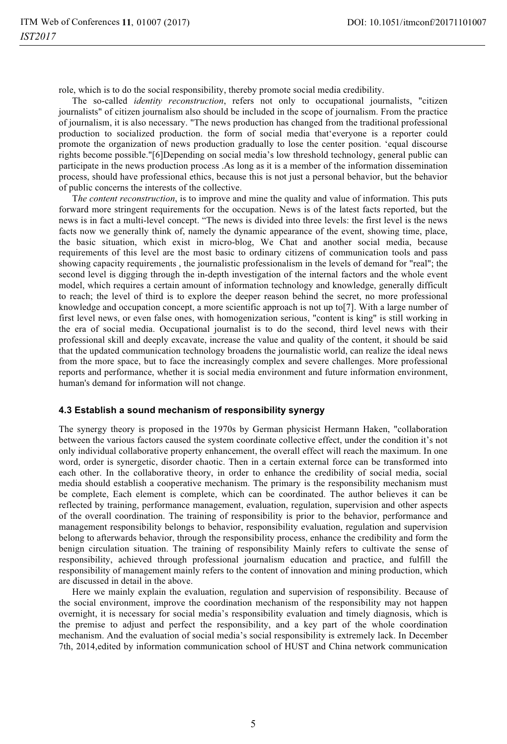role, which is to do the social responsibility, thereby promote social media credibility.

The so-called *identity reconstruction*, refers not only to occupational journalists, "citizen journalists" of citizen journalism also should be included in the scope of journalism. From the practice of journalism, it is also necessary. "The news production has changed from the traditional professional production to socialized production. the form of social media that'everyone is a reporter could promote the organization of news production gradually to lose the center position. 'equal discourse rights become possible."[6]Depending on social media's low threshold technology, general public can participate in the news production process .As long as it is a member of the information dissemination process, should have professional ethics, because this is not just a personal behavior, but the behavior of public concerns the interests of the collective.

T*he content reconstruction*, is to improve and mine the quality and value of information. This puts forward more stringent requirements for the occupation. News is of the latest facts reported, but the news is in fact a multi-level concept. "The news is divided into three levels: the first level is the news facts now we generally think of, namely the dynamic appearance of the event, showing time, place, the basic situation, which exist in micro-blog, We Chat and another social media, because requirements of this level are the most basic to ordinary citizens of communication tools and pass showing capacity requirements , the journalistic professionalism in the levels of demand for "real"; the second level is digging through the in-depth investigation of the internal factors and the whole event model, which requires a certain amount of information technology and knowledge, generally difficult to reach; the level of third is to explore the deeper reason behind the secret, no more professional knowledge and occupation concept, a more scientific approach is not up to[7]. With a large number of first level news, or even false ones, with homogenization serious, "content is king" is still working in the era of social media. Occupational journalist is to do the second, third level news with their professional skill and deeply excavate, increase the value and quality of the content, it should be said that the updated communication technology broadens the journalistic world, can realize the ideal news from the more space, but to face the increasingly complex and severe challenges. More professional reports and performance, whether it is social media environment and future information environment, human's demand for information will not change.

#### **4.3 Establish a sound mechanism of responsibility synergy**

The synergy theory is proposed in the 1970s by German physicist Hermann Haken, "collaboration between the various factors caused the system coordinate collective effect, under the condition it's not only individual collaborative property enhancement, the overall effect will reach the maximum. In one word, order is synergetic, disorder chaotic. Then in a certain external force can be transformed into each other. In the collaborative theory, in order to enhance the credibility of social media, social media should establish a cooperative mechanism. The primary is the responsibility mechanism must be complete, Each element is complete, which can be coordinated. The author believes it can be reflected by training, performance management, evaluation, regulation, supervision and other aspects of the overall coordination. The training of responsibility is prior to the behavior, performance and management responsibility belongs to behavior, responsibility evaluation, regulation and supervision belong to afterwards behavior, through the responsibility process, enhance the credibility and form the benign circulation situation. The training of responsibility Mainly refers to cultivate the sense of responsibility, achieved through professional journalism education and practice, and fulfill the responsibility of management mainly refers to the content of innovation and mining production, which are discussed in detail in the above.

Here we mainly explain the evaluation, regulation and supervision of responsibility. Because of the social environment, improve the coordination mechanism of the responsibility may not happen overnight, it is necessary for social media's responsibility evaluation and timely diagnosis, which is the premise to adjust and perfect the responsibility, and a key part of the whole coordination mechanism. And the evaluation of social media's social responsibility is extremely lack. In December 7th, 2014,edited by information communication school of HUST and China network communication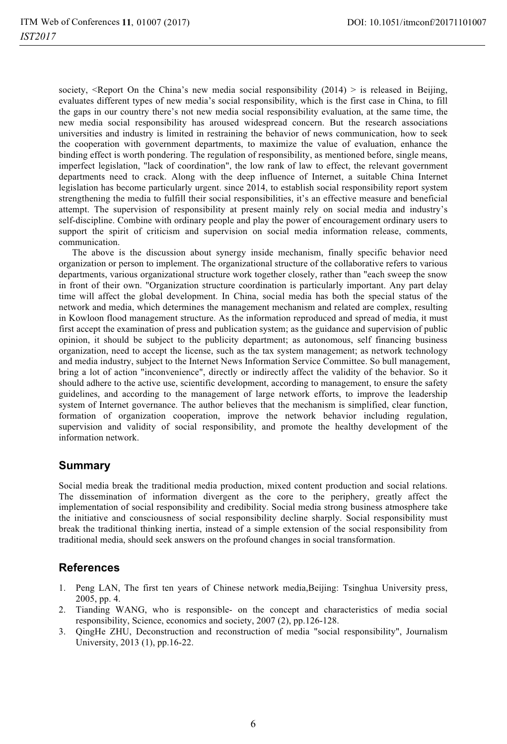society, <Report On the China's new media social responsibility  $(2014)$  > is released in Beijing, evaluates different types of new media's social responsibility, which is the first case in China, to fill the gaps in our country there's not new media social responsibility evaluation, at the same time, the new media social responsibility has aroused widespread concern. But the research associations universities and industry is limited in restraining the behavior of news communication, how to seek the cooperation with government departments, to maximize the value of evaluation, enhance the binding effect is worth pondering. The regulation of responsibility, as mentioned before, single means, imperfect legislation, "lack of coordination", the low rank of law to effect, the relevant government departments need to crack. Along with the deep influence of Internet, a suitable China Internet legislation has become particularly urgent. since 2014, to establish social responsibility report system strengthening the media to fulfill their social responsibilities, it's an effective measure and beneficial attempt. The supervision of responsibility at present mainly rely on social media and industry's self-discipline. Combine with ordinary people and play the power of encouragement ordinary users to support the spirit of criticism and supervision on social media information release, comments, communication.

The above is the discussion about synergy inside mechanism, finally specific behavior need organization or person to implement. The organizational structure of the collaborative refers to various departments, various organizational structure work together closely, rather than "each sweep the snow in front of their own. "Organization structure coordination is particularly important. Any part delay time will affect the global development. In China, social media has both the special status of the network and media, which determines the management mechanism and related are complex, resulting in Kowloon flood management structure. As the information reproduced and spread of media, it must first accept the examination of press and publication system; as the guidance and supervision of public opinion, it should be subject to the publicity department; as autonomous, self financing business organization, need to accept the license, such as the tax system management; as network technology and media industry, subject to the Internet News Information Service Committee. So bull management, bring a lot of action "inconvenience", directly or indirectly affect the validity of the behavior. So it should adhere to the active use, scientific development, according to management, to ensure the safety guidelines, and according to the management of large network efforts, to improve the leadership system of Internet governance. The author believes that the mechanism is simplified, clear function, formation of organization cooperation, improve the network behavior including regulation, supervision and validity of social responsibility, and promote the healthy development of the information network.

# **Summary**

Social media break the traditional media production, mixed content production and social relations. The dissemination of information divergent as the core to the periphery, greatly affect the implementation of social responsibility and credibility. Social media strong business atmosphere take the initiative and consciousness of social responsibility decline sharply. Social responsibility must break the traditional thinking inertia, instead of a simple extension of the social responsibility from traditional media, should seek answers on the profound changes in social transformation.

# **References**

- 1. Peng LAN, The first ten years of Chinese network media,Beijing: Tsinghua University press, 2005, pp. 4.
- 2. Tianding WANG, who is responsible- on the concept and characteristics of media social responsibility, Science, economics and society, 2007 (2), pp.126-128.
- 3. QingHe ZHU, Deconstruction and reconstruction of media "social responsibility", Journalism University, 2013 (1), pp.16-22.